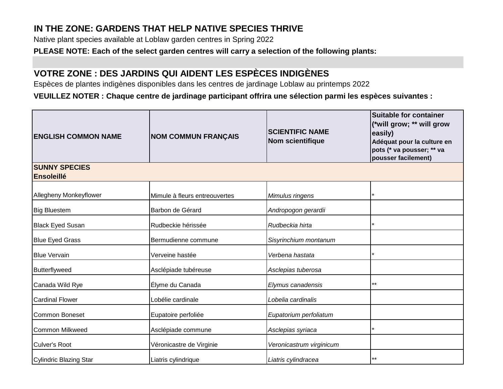## **IN THE ZONE: GARDENS THAT HELP NATIVE SPECIES THRIVE**

Native plant species available at Loblaw garden centres in Spring 2022

**PLEASE NOTE: Each of the select garden centres will carry a selection of the following plants:**

## **VOTRE ZONE : DES JARDINS QUI AIDENT LES ESPÈCES INDIGÈNES**

Espèces de plantes indigènes disponibles dans les centres de jardinage Loblaw au printemps 2022

**VEUILLEZ NOTER : Chaque centre de jardinage participant offrira une sélection parmi les espèces suivantes :**

| <b>ENGLISH COMMON NAME</b>                | <b>NOM COMMUN FRANÇAIS</b>    | <b>SCIENTIFIC NAME</b><br><b>Nom scientifique</b> | Suitable for container<br>(*will grow; ** will grow<br>easily)<br>Adéquat pour la culture en<br>pots (* va pousser; ** va<br>pousser facilement) |  |  |  |  |
|-------------------------------------------|-------------------------------|---------------------------------------------------|--------------------------------------------------------------------------------------------------------------------------------------------------|--|--|--|--|
| <b>SUNNY SPECIES</b><br><b>Ensoleillé</b> |                               |                                                   |                                                                                                                                                  |  |  |  |  |
| Allegheny Monkeyflower                    | Mimule à fleurs entreouvertes | Mimulus ringens                                   |                                                                                                                                                  |  |  |  |  |
| <b>Big Bluestem</b>                       | Barbon de Gérard              | Andropogon gerardii                               |                                                                                                                                                  |  |  |  |  |
| <b>Black Eyed Susan</b>                   | Rudbeckie hérissée            | Rudbeckia hirta                                   |                                                                                                                                                  |  |  |  |  |
| <b>Blue Eyed Grass</b>                    | Bermudienne commune           | Sisyrinchium montanum                             |                                                                                                                                                  |  |  |  |  |
| <b>Blue Vervain</b>                       | Verveine hastée               | Verbena hastata                                   |                                                                                                                                                  |  |  |  |  |
| Butterflyweed                             | Asclépiade tubéreuse          | Asclepias tuberosa                                |                                                                                                                                                  |  |  |  |  |
| Canada Wild Rye                           | Élyme du Canada               | Elymus canadensis                                 | $***$                                                                                                                                            |  |  |  |  |
| <b>Cardinal Flower</b>                    | Lobélie cardinale             | Lobelia cardinalis                                |                                                                                                                                                  |  |  |  |  |
| Common Boneset                            | Eupatoire perfoliée           | Eupatorium perfoliatum                            |                                                                                                                                                  |  |  |  |  |
| <b>Common Milkweed</b>                    | Asclépiade commune            | Asclepias syriaca                                 |                                                                                                                                                  |  |  |  |  |
| <b>Culver's Root</b>                      | Véronicastre de Virginie      | Veronicastrum virginicum                          |                                                                                                                                                  |  |  |  |  |
| Cylindric Blazing Star                    | Liatris cylindrique           | Liatris cylindracea                               | $***$                                                                                                                                            |  |  |  |  |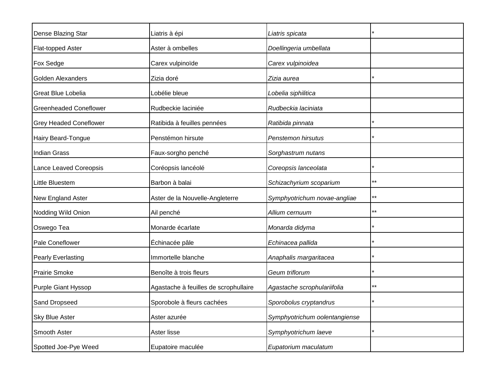| Dense Blazing Star            | Liatris à épi                         | Liatris spicata               |       |
|-------------------------------|---------------------------------------|-------------------------------|-------|
| Flat-topped Aster             | Aster à ombelles                      | Doellingeria umbellata        |       |
| Fox Sedge                     | Carex vulpinoïde                      | Carex vulpinoidea             |       |
| Golden Alexanders             | Zizia doré                            | Zizia aurea                   |       |
| Great Blue Lobelia            | Lobélie bleue                         | Lobelia siphilitica           |       |
| <b>Greenheaded Coneflower</b> | Rudbeckie laciniée                    | Rudbeckia laciniata           |       |
| <b>Grey Headed Coneflower</b> | Ratibida à feuilles pennées           | Ratibida pinnata              |       |
| Hairy Beard-Tongue            | Penstémon hirsute                     | Penstemon hirsutus            |       |
| <b>Indian Grass</b>           | Faux-sorgho penché                    | Sorghastrum nutans            |       |
| Lance Leaved Coreopsis        | Coréopsis lancéolé                    | Coreopsis lanceolata          |       |
| Little Bluestem               | Barbon à balai                        | Schizachyrium scoparium       | **    |
| New England Aster             | Aster de la Nouvelle-Angleterre       | Symphyotrichum novae-angliae  | **    |
| Nodding Wild Onion            | Ail penché                            | Allium cernuum                | $***$ |
| Oswego Tea                    | Monarde écarlate                      | Monarda didyma                |       |
| Pale Coneflower               | Échinacée pâle                        | Echinacea pallida             |       |
| Pearly Everlasting            | Immortelle blanche                    | Anaphalis margaritacea        |       |
| <b>Prairie Smoke</b>          | Benoîte à trois fleurs                | Geum triflorum                |       |
| Purple Giant Hyssop           | Agastache à feuilles de scrophullaire | Agastache scrophulariifolia   | **    |
| Sand Dropseed                 | Sporobole à fleurs cachées            | Sporobolus cryptandrus        |       |
| <b>Sky Blue Aster</b>         | Aster azurée                          | Symphyotrichum oolentangiense |       |
| Smooth Aster                  | Aster lisse                           | Symphyotrichum laeve          |       |
| Spotted Joe-Pye Weed          | Eupatoire maculée                     | Eupatorium maculatum          |       |